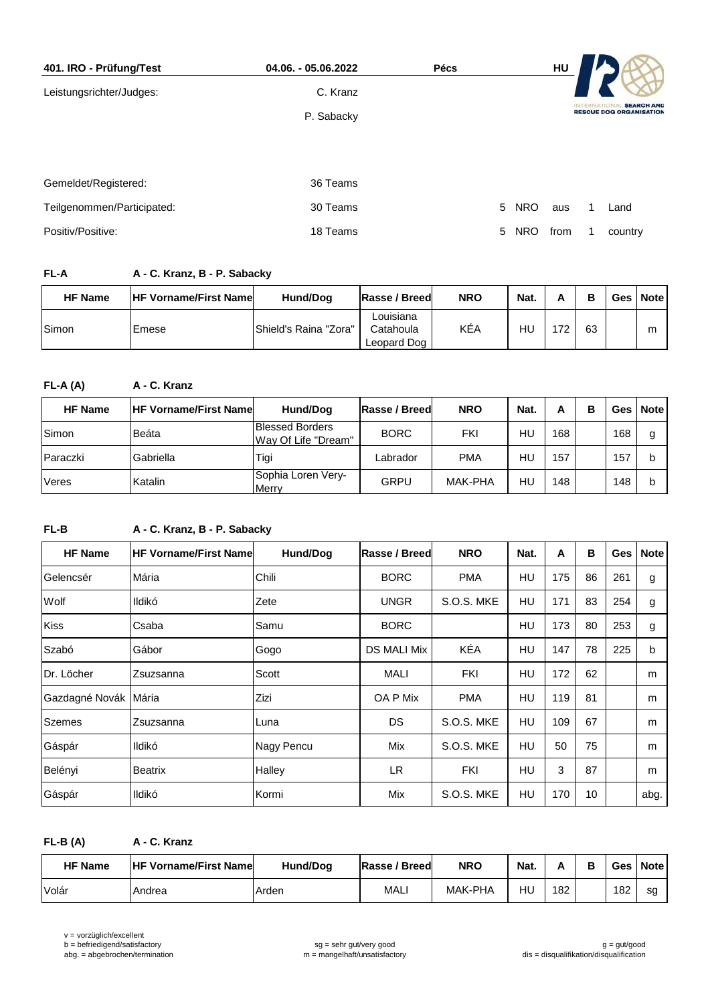| 401. IRO - Prüfung/Test    | 04.06. - 05.06.2022 | <b>Pécs</b> |                 | HU   |                                                     |
|----------------------------|---------------------|-------------|-----------------|------|-----------------------------------------------------|
| Leistungsrichter/Judges:   | C. Kranz            |             |                 |      |                                                     |
|                            | P. Sabacky          |             |                 |      | <b>SEARCH AND</b><br><b>RESCUE DOG ORGANISATION</b> |
|                            |                     |             |                 |      |                                                     |
|                            |                     |             |                 |      |                                                     |
| Gemeldet/Registered:       | 36 Teams            |             |                 |      |                                                     |
| Teilgenommen/Participated: | 30 Teams            |             | 5<br><b>NRO</b> | aus  | Land                                                |
| Positiv/Positive:          | 18 Teams            |             | 5<br><b>NRO</b> | from | country                                             |

## **FL-A A - C. Kranz, B - P. Sabacky**

| <b>HF Name</b> | <b>IHF Vorname/First Namel</b> | Hund/Dog              | Rasse / Breed                         | <b>NRO</b> | Nat. | Α   | в  | Ges | <b>Note</b> |
|----------------|--------------------------------|-----------------------|---------------------------------------|------------|------|-----|----|-----|-------------|
| Simon          | Emese                          | Shield's Raina "Zora" | Louisiana<br>Catahoula<br>Leopard Dog | KÉA        | HU   | 172 | 63 |     | m           |

## **FL-A (A) A - C. Kranz**

| <b>HF Name</b> | <b>IHF Vorname/First Namel</b> | Hund/Dog                                      | <b>Rasse / Breed</b> | <b>NRO</b> | Nat. | А   | в |     | Ges   Note |
|----------------|--------------------------------|-----------------------------------------------|----------------------|------------|------|-----|---|-----|------------|
| Simon          | Beáta                          | <b>Blessed Borders</b><br>Way Of Life "Dream" | <b>BORC</b>          | FKI        | HU   | 168 |   | 168 | g          |
| Paraczki       | Gabriella                      | Tigi                                          | Labrador             | <b>PMA</b> | HU   | 157 |   | 157 | b          |
| Veres          | Katalin                        | Sophia Loren Very-<br>Merry                   | GRPU                 | MAK-PHA    | HU   | 148 |   | 148 | b          |

## **FL-B A - C. Kranz, B - P. Sabacky**

| <b>HF Name</b> | <b>HF Vorname/First Namel</b> | Hund/Dog   | Rasse / Breed      | <b>NRO</b> | Nat. | A   | в  | Ges | <b>Note</b> |
|----------------|-------------------------------|------------|--------------------|------------|------|-----|----|-----|-------------|
| Gelencsér      | Mária                         | Chili      | <b>BORC</b>        | <b>PMA</b> | HU   | 175 | 86 | 261 | g           |
| Wolf           | Ildikó                        | Zete       | <b>UNGR</b>        | S.O.S. MKE | HU   | 171 | 83 | 254 | g           |
| <b>Kiss</b>    | Csaba                         | Samu       | <b>BORC</b>        |            | HU   | 173 | 80 | 253 | g           |
| Szabó          | Gábor                         | Gogo       | <b>DS MALI Mix</b> | KÉA        | HU   | 147 | 78 | 225 | $\mathbf b$ |
| Dr. Löcher     | Zsuzsanna                     | Scott      | <b>MALI</b>        | FKI        | HU   | 172 | 62 |     | m           |
| Gazdagné Novák | Mária                         | Zizi       | OA P Mix           | <b>PMA</b> | HU   | 119 | 81 |     | m           |
| <b>Szemes</b>  | Zsuzsanna                     | Luna       | DS                 | S.O.S. MKE | HU   | 109 | 67 |     | m           |
| Gáspár         | Ildikó                        | Nagy Pencu | Mix                | S.O.S. MKE | HU   | 50  | 75 |     | m           |
| Belényi        | <b>Beatrix</b>                | Halley     | LR.                | <b>FKI</b> | HU   | 3   | 87 |     | m           |
| Gáspár         | Ildikó                        | Kormi      | Mix                | S.O.S. MKE | HU   | 170 | 10 |     | abg.        |

**FL-B (A) A - C. Kranz**

| <b>HF Name</b> | <b>HF Vorname/First Name</b> | Hund/Dog | Rasse / Breed | <b>NRO</b>     | Nat. |     | Ges | <b>Note</b> |
|----------------|------------------------------|----------|---------------|----------------|------|-----|-----|-------------|
| Volár          | Andrea                       | Arden    | MAL.          | <b>MAK-PHA</b> | HU   | 182 | 182 | sq          |